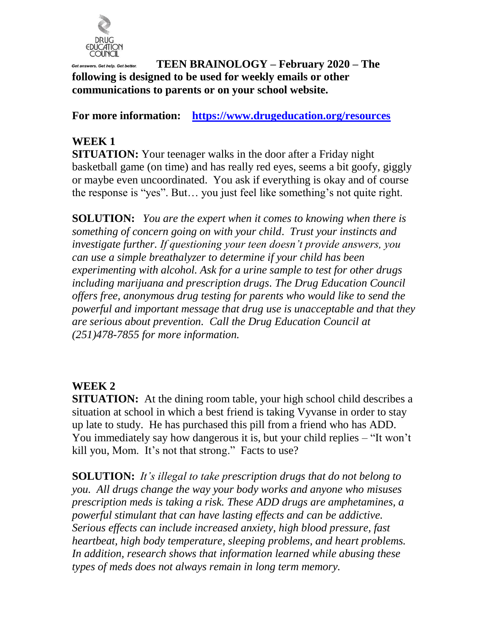

#### **TEEN BRAINOLOGY – February 2020 – The following is designed to be used for weekly emails or other communications to parents or on your school website.**

**For more information: <https://www.drugeducation.org/resources>**

## **WEEK 1**

**SITUATION:** Your teenager walks in the door after a Friday night basketball game (on time) and has really red eyes, seems a bit goofy, giggly or maybe even uncoordinated. You ask if everything is okay and of course the response is "yes". But… you just feel like something's not quite right.

**SOLUTION:** *You are the expert when it comes to knowing when there is something of concern going on with your child*. *Trust your instincts and investigate further. If questioning your teen doesn't provide answers, you can use a simple breathalyzer to determine if your child has been experimenting with alcohol. Ask for a urine sample to test for other drugs including marijuana and prescription drugs. The Drug Education Council offers free, anonymous drug testing for parents who would like to send the powerful and important message that drug use is unacceptable and that they are serious about prevention. Call the Drug Education Council at (251)478-7855 for more information.*

### **WEEK 2**

**SITUATION:** At the dining room table, your high school child describes a situation at school in which a best friend is taking Vyvanse in order to stay up late to study. He has purchased this pill from a friend who has ADD. You immediately say how dangerous it is, but your child replies – "It won't kill you, Mom. It's not that strong." Facts to use?

**SOLUTION:** *It's illegal to take prescription drugs that do not belong to you. All drugs change the way your body works and anyone who misuses prescription meds is taking a risk. These ADD drugs are amphetamines, a powerful stimulant that can have lasting effects and can be addictive. Serious effects can include increased anxiety, high blood pressure, fast heartbeat, high body temperature, sleeping problems, and heart problems. In addition, research shows that information learned while abusing these types of meds does not always remain in long term memory.*